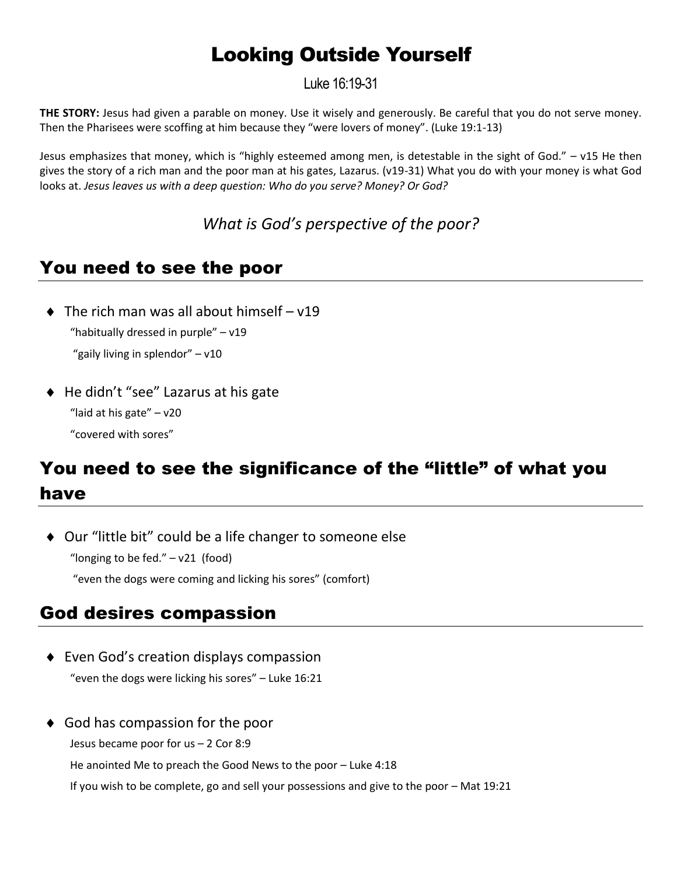# Looking Outside Yourself

Luke 16:19-31

**THE STORY:** Jesus had given a parable on money. Use it wisely and generously. Be careful that you do not serve money. Then the Pharisees were scoffing at him because they "were lovers of money". (Luke 19:1-13)

Jesus emphasizes that money, which is "highly esteemed among men, is detestable in the sight of God." – v15 He then gives the story of a rich man and the poor man at his gates, Lazarus. (v19-31) What you do with your money is what God looks at. *Jesus leaves us with a deep question: Who do you serve? Money? Or God?*

*What is God's perspective of the poor?*

## You need to see the poor

- $\bullet$  The rich man was all about himself v19 "habitually dressed in purple" – v19 "gaily living in splendor" – v10
- ◆ He didn't "see" Lazarus at his gate "laid at his gate" – v20 "covered with sores"

# You need to see the significance of the "little" of what you have

◆ Our "little bit" could be a life changer to someone else "longing to be fed."  $-$  v21 (food)

"even the dogs were coming and licking his sores" (comfort)

## God desires compassion

- Even God's creation displays compassion "even the dogs were licking his sores" – Luke 16:21
- ◆ God has compassion for the poor Jesus became poor for us – 2 Cor 8:9 He anointed Me to preach the Good News to the poor – Luke 4:18

If you wish to be complete, go and sell your possessions and give to the poor – Mat 19:21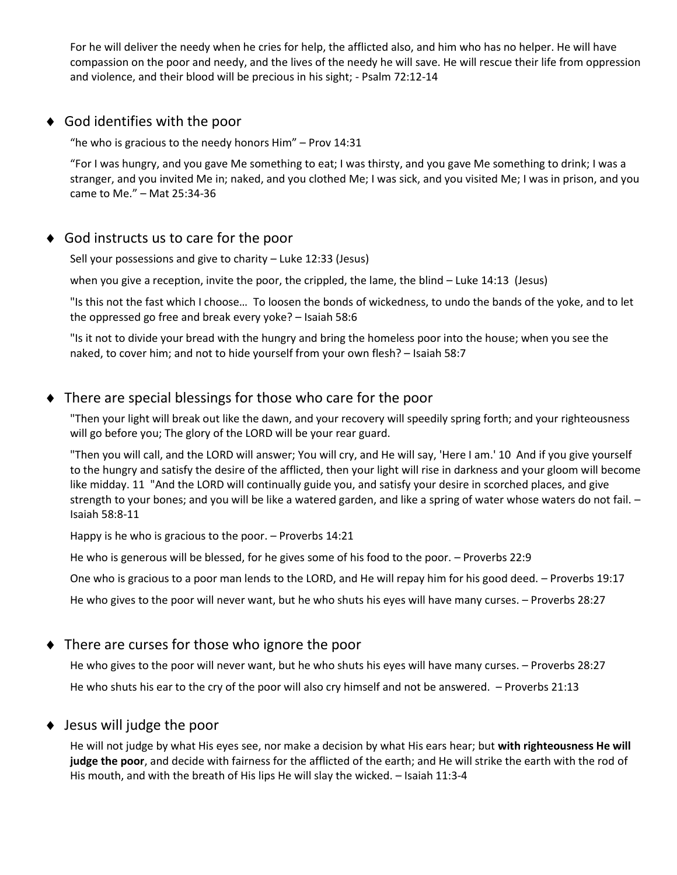For he will deliver the needy when he cries for help, the afflicted also, and him who has no helper. He will have compassion on the poor and needy, and the lives of the needy he will save. He will rescue their life from oppression and violence, and their blood will be precious in his sight; - Psalm 72:12-14

#### ◆ God identifies with the poor

"he who is gracious to the needy honors Him" – Prov 14:31

"For I was hungry, and you gave Me something to eat; I was thirsty, and you gave Me something to drink; I was a stranger, and you invited Me in; naked, and you clothed Me; I was sick, and you visited Me; I was in prison, and you came to Me." – Mat 25:34-36

#### ◆ God instructs us to care for the poor

Sell your possessions and give to charity – Luke 12:33 (Jesus)

when you give a reception, invite the poor, the crippled, the lame, the blind – Luke 14:13 (Jesus)

"Is this not the fast which I choose… To loosen the bonds of wickedness, to undo the bands of the yoke, and to let the oppressed go free and break every yoke? – Isaiah 58:6

"Is it not to divide your bread with the hungry and bring the homeless poor into the house; when you see the naked, to cover him; and not to hide yourself from your own flesh? – Isaiah 58:7

#### There are special blessings for those who care for the poor

"Then your light will break out like the dawn, and your recovery will speedily spring forth; and your righteousness will go before you; The glory of the LORD will be your rear guard.

"Then you will call, and the LORD will answer; You will cry, and He will say, 'Here I am.' 10 And if you give yourself to the hungry and satisfy the desire of the afflicted, then your light will rise in darkness and your gloom will become like midday. 11 "And the LORD will continually guide you, and satisfy your desire in scorched places, and give strength to your bones; and you will be like a watered garden, and like a spring of water whose waters do not fail. -Isaiah 58:8-11

Happy is he who is gracious to the poor. – Proverbs 14:21

He who is generous will be blessed, for he gives some of his food to the poor. – Proverbs 22:9

One who is gracious to a poor man lends to the LORD, and He will repay him for his good deed. – Proverbs 19:17

He who gives to the poor will never want, but he who shuts his eyes will have many curses. – Proverbs 28:27

#### ◆ There are curses for those who ignore the poor

He who gives to the poor will never want, but he who shuts his eyes will have many curses. – Proverbs 28:27 He who shuts his ear to the cry of the poor will also cry himself and not be answered. – Proverbs 21:13

#### ◆ Jesus will judge the poor

He will not judge by what His eyes see, nor make a decision by what His ears hear; but **with righteousness He will judge the poor**, and decide with fairness for the afflicted of the earth; and He will strike the earth with the rod of His mouth, and with the breath of His lips He will slay the wicked. – Isaiah 11:3-4